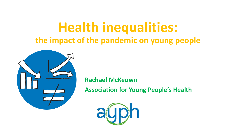# **Health inequalities: the impact of the pandemic on young people**



**Rachael McKeown**

**Association for Young People's Health**

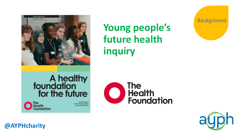

# **Young people's future health inquiry**



#### The<br>Health **Foundation**



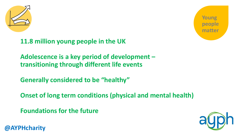

**Young people matter**

**11.8 million young people in the UK**

**Adolescence is a key period of development – transitioning through different life events**

**Generally considered to be "healthy"**

**Onset of long term conditions (physical and mental health)**

**Foundations for the future**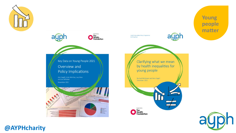



**Young people matter**

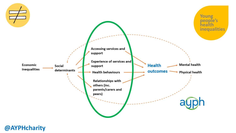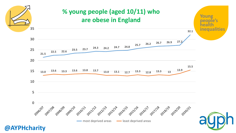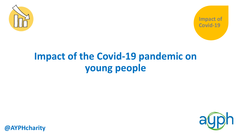



# **Impact of the Covid-19 pandemic on young people**

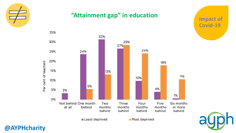

## **"Attainment gap" in education**

**Impact of Covid-19**



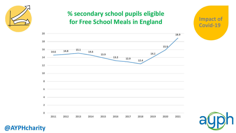

# **% secondary school pupils eligible for Free School Meals in England**





**Impact of** 

**Covid-19**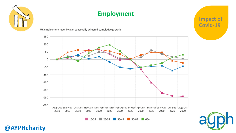

# **Employment**

UK employment level by age, seasonally adjusted cumulative growth



 $\blacksquare$  16-24  $\blacksquare$  25-34  $\blacksquare$  35-49  $\blacksquare$  50-64  $\blacksquare$  65+



**Impact of** 

**Covid-19**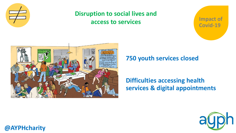

# **Disruption to social lives and access to services**

**Impact of Covid-19**



## **750 youth services closed**

# **Difficulties accessing health services & digital appointments**

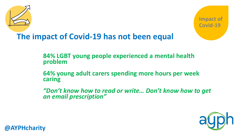



# **The impact of Covid-19 has not been equal**

**84% LGBT young people experienced a mental health problem**

**64% young adult carers spending more hours per week caring**

*"Don't know how to read or write… Don't know how to get an email prescription"*

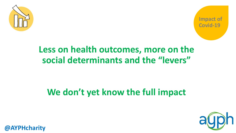



# **Less on health outcomes, more on the social determinants and the "levers"**

# **We don't yet know the full impact**

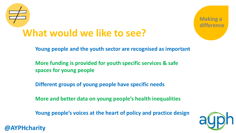

**@AYPHcharity**



**Young people and the youth sector are recognised as important**

**More funding is provided for youth specific services & safe spaces for young people**

**Different groups of young people have specific needs**

**More and better data on young people's health inequalities**

**Young people's voices at the heart of policy and practice design**